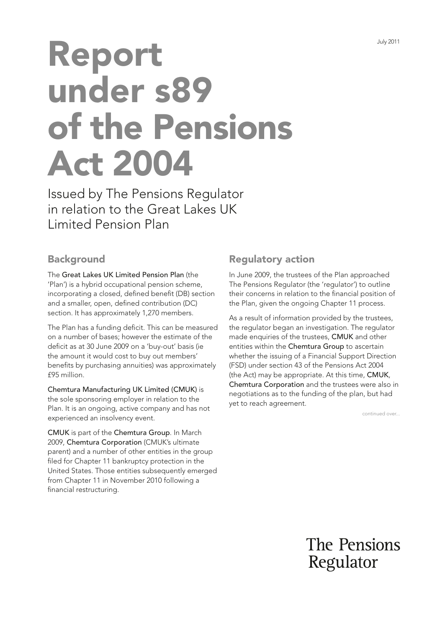# Report under s89 of the Pensions Act 2004

Issued by The Pensions Regulator in relation to the Great Lakes UK Limited Pension Plan

## **Background**

The Great Lakes UK Limited Pension Plan (the 'Plan') is a hybrid occupational pension scheme, incorporating a closed, defined benefit (DB) section and a smaller, open, defned contribution (DC) section. It has approximately 1,270 members.

The Plan has a funding deficit. This can be measured on a number of bases; however the estimate of the deficit as at 30 June 2009 on a 'buy-out' basis (ie the amount it would cost to buy out members' benefits by purchasing annuities) was approximately £95 million.

Chemtura Manufacturing UK Limited (CMUK) is the sole sponsoring employer in relation to the Plan. It is an ongoing, active company and has not experienced an insolvency event.

CMUK is part of the Chemtura Group. In March 2009, Chemtura Corporation (CMUK's ultimate parent) and a number of other entities in the group filed for Chapter 11 bankruptcy protection in the United States. Those entities subsequently emerged from Chapter 11 in November 2010 following a financial restructuring.

# Regulatory action

In June 2009, the trustees of the Plan approached The Pensions Regulator (the 'regulator') to outline their concerns in relation to the fnancial position of the Plan, given the ongoing Chapter 11 process.

As a result of information provided by the trustees, the regulator began an investigation. The regulator made enquiries of the trustees, CMUK and other entities within the Chemtura Group to ascertain whether the issuing of a Financial Support Direction (FSD) under section 43 of the Pensions Act 2004 (the Act) may be appropriate. At this time, CMUK, Chemtura Corporation and the trustees were also in negotiations as to the funding of the plan, but had yet to reach agreement.

continued over...

The Pensions Regulator